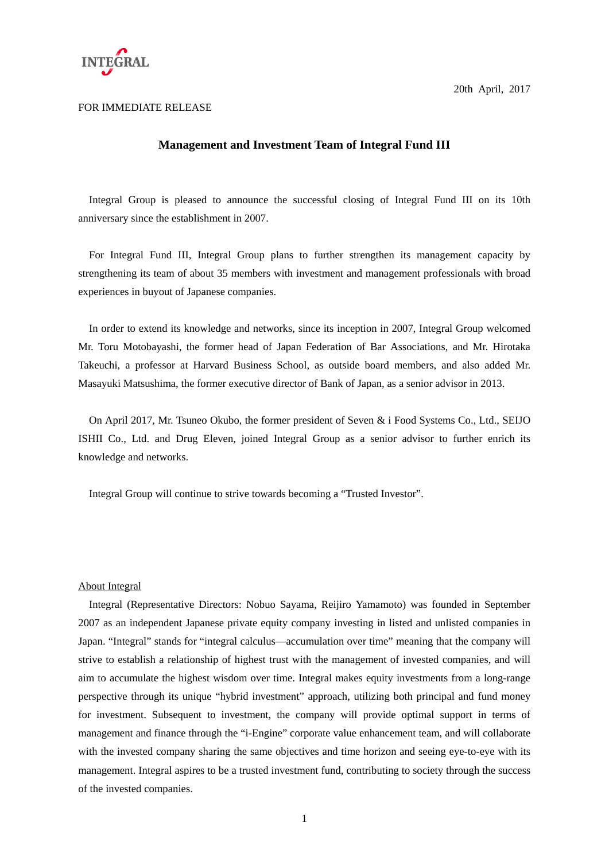

FOR IMMEDIATE RELEASE

20th April, 2017

## **Management and Investment Team of Integral Fund III**

Integral Group is pleased to announce the successful closing of Integral Fund III on its 10th anniversary since the establishment in 2007.

For Integral Fund III, Integral Group plans to further strengthen its management capacity by strengthening its team of about 35 members with investment and management professionals with broad experiences in buyout of Japanese companies.

In order to extend its knowledge and networks, since its inception in 2007, Integral Group welcomed Mr. Toru Motobayashi, the former head of Japan Federation of Bar Associations, and Mr. Hirotaka Takeuchi, a professor at Harvard Business School, as outside board members, and also added Mr. Masayuki Matsushima, the former executive director of Bank of Japan, as a senior advisor in 2013.

On April 2017, Mr. Tsuneo Okubo, the former president of Seven & i Food Systems Co., Ltd., SEIJO ISHII Co., Ltd. and Drug Eleven, joined Integral Group as a senior advisor to further enrich its knowledge and networks.

Integral Group will continue to strive towards becoming a "Trusted Investor".

## About Integral

Integral (Representative Directors: Nobuo Sayama, Reijiro Yamamoto) was founded in September 2007 as an independent Japanese private equity company investing in listed and unlisted companies in Japan. "Integral" stands for "integral calculus—accumulation over time" meaning that the company will strive to establish a relationship of highest trust with the management of invested companies, and will aim to accumulate the highest wisdom over time. Integral makes equity investments from a long-range perspective through its unique "hybrid investment" approach, utilizing both principal and fund money for investment. Subsequent to investment, the company will provide optimal support in terms of management and finance through the "i-Engine" corporate value enhancement team, and will collaborate with the invested company sharing the same objectives and time horizon and seeing eye-to-eye with its management. Integral aspires to be a trusted investment fund, contributing to society through the success of the invested companies.